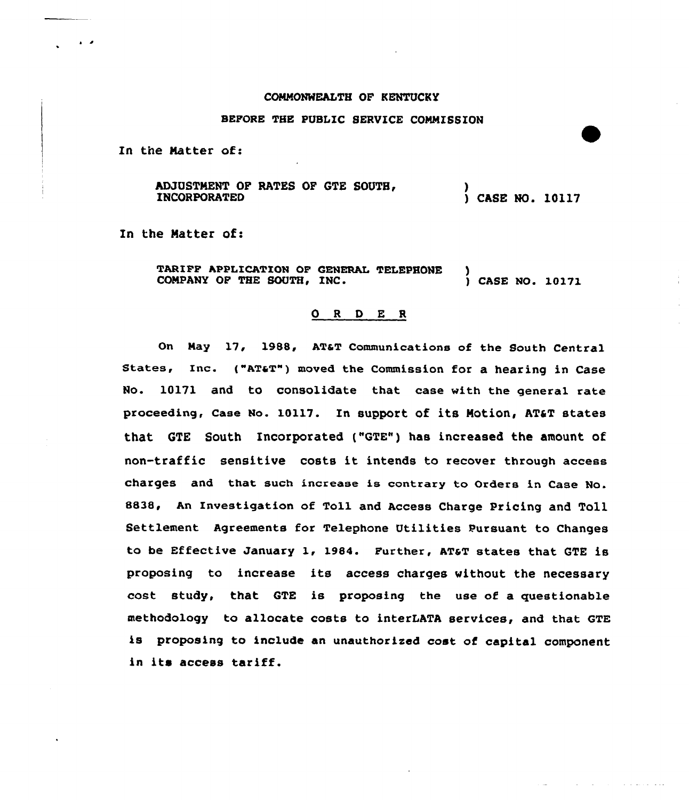### COMNONWEALTH OF KENTUCKY

#### BEPORE THE PUBLIC SERVICE CONNZSSION

In the Natter of:

ADJUSTMENT OF RATES OF GTE SOUTH, INCORPORATED ) ) CASE NO. 10117

In the Matter of:

TARIFF APPLICATION OF GENERAL TELEPHONE )<br>COMPANY OF THE SOUTH, INC. (2008) CASE NO. 10171 COMPANY OF THE SOUTH. INC.

### ORDER

On Nay 17, 1988, ATaT Communications of the South Central States, Inc. ("AT&T") moved the Commission for a hearing in Case No. 10171 and to consolidate that case with the general rate proceeding, Case No. 10117. In support of its Motion, AT&T states that GTE South Incorporated ("GTE") has increased the amount of non-traffic sensitive costs it intends to recover through access charges and that such increase is contrary to Orders in Case No. 8838, An Investigation of Toll and Access Charge Pricing and Toll Settlement Agreements for Telephone Utilities Pursuant to Changes to be Effective January 1, 1984. Further, AT&T states that GTE is proposing to increase its access charges without the necessary cost study, that GTE is proposing the use of a guestionable methodology to allocate costs to interLATA services, and that GTE is proposing to include an unauthorized cost of capital component in it» access tariff.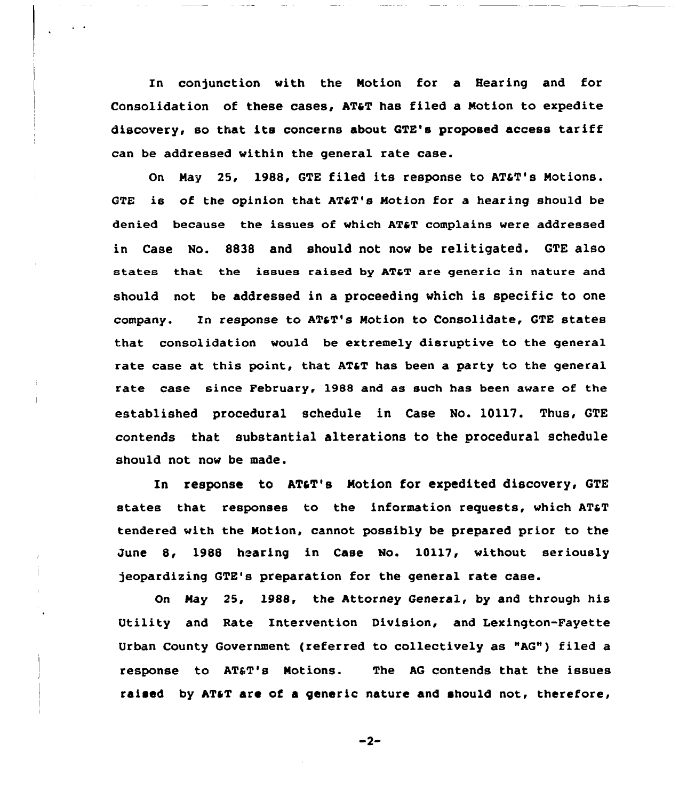In conjunction with the Notion for a Hearing and for Consolidation of these cases, AT&T has filed a Motion to expedite discovery, so that its concerns about QTE's proposed access tariff can be addressed within the general rate case.

On May 25, 1988, GTE filed its response to AT&T's Motions. GTE is of the opinion that  $ATF'S$  Motion for a hearing should be denied because the issues of which AT&T complains were addressed in Case No. 8838 and should not now be relitigated. GTE also states that the issues raised by AT&T are generic in nature and should not be addressed in a proceeding which is specific to one company. In response to AT&T's Motion to Consolidate, GTE states that consolidation would be extremely disruptive to the general rate case at this point, that AT&T has been a party to the general rate case since February, 1988 and as such has been aware of the established procedural schedule in Case No. 10117. Thus, GTE contends that substantial alterations to the procedural schedule should not now be made.

In response to AT&T's Motion for expedited discovery, GTE states that responses to the information requests, which AT&T tendered with the Notion, cannot possibly be prepared prior to the June 8, 1988 hearing in Case No. 10117, without seriously jeopardizing GTE's preparation for the general rate case.

On Nay 25, 1988, the Attorney General, by and through his Utility and Rate Intervention Division, and Lexington-Fayette Urban County Government (referred to collectively as "AG") filed a response to AT&T's Motions. The AG contends that the issues raised by AT&T are of a generic nature and should not, therefore,

 $-2-$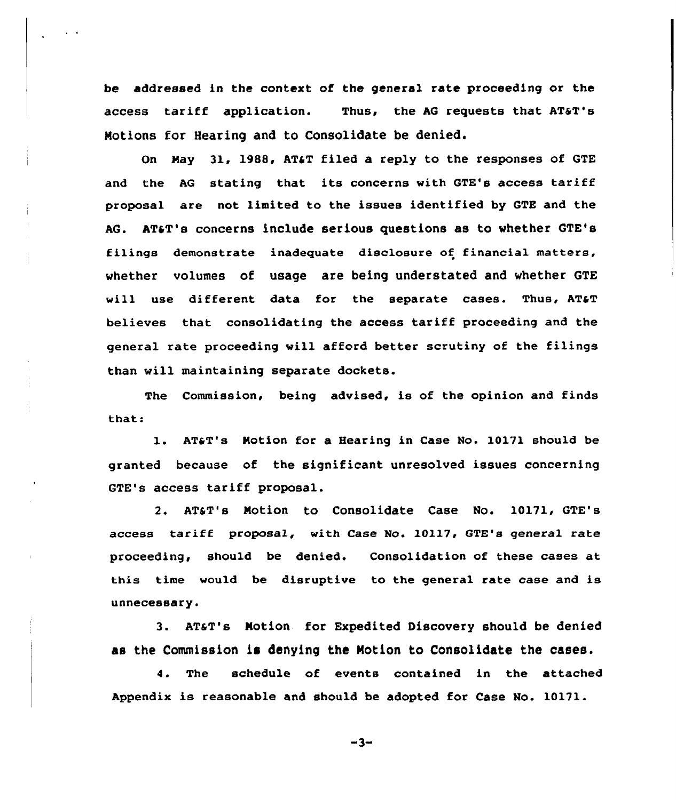be addressed in the context of the general rate proceeding or the access tariff application. Thus, the AG requests that AT&T's Notions for Hearing and to Consolidate be denied.

On May 31, 1988, AT&T filed a reply to the responses of GTE and the AG stating that its concerns with GTE's access tariff proposal are not, limited to the issues identified by GTE and the AG. AT&T's concerns include serious questions as to whether GTE's filings demonstrate inadeguate disclosure of financial matters, whether volumes of usage are being understated and whether GTE will use different data for the separate cases. Thus, AT&T believes that consolidating the access tariff proceeding and the general rate proceeding vill afford better scrutiny of the filings than will maintaining separate dockets.

The Commission, being advised, is of the opinion and finds that:

1. AT&T's Motion for a Hearing in Case No. 10171 should be granted because of the significant unresolved issues concerning GTE's access tariff proposal.

2. AT&T's Notion to Consolidate Case No. 10171, GTE's access tariff proposal, with Case No. 10117, GTE's general rate proceeding, should be denied. Consolidation of these cases at this time would be disruptive to the general rate case and is unnecessary.

3. AT&T's Motion for Expedited Discovery should be denied as the Commission is denying the Notion to Consolidate the cases.

4. The schedule of events contained in the attached Appendix is reasonable and should be adopted for Case No. 10171.

 $-3-$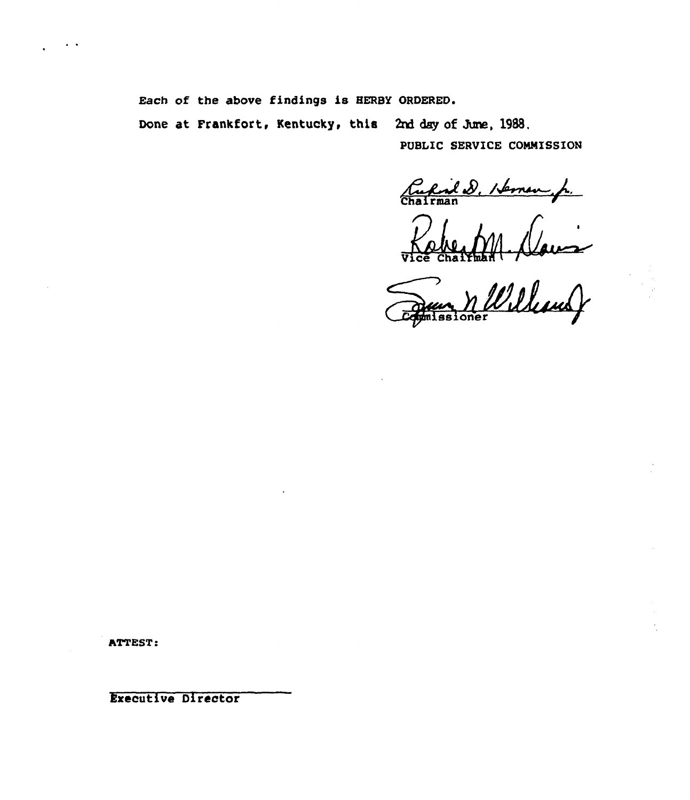Each of the above findings is HERBY ORDERED.

Done at Frankfort, Kentucky, this 2nd day of June, 1988.

PUBLIC SERVICE COMMISSION

Cupid D. Heman p.

Williams oner

ATTEST:

Executive Director